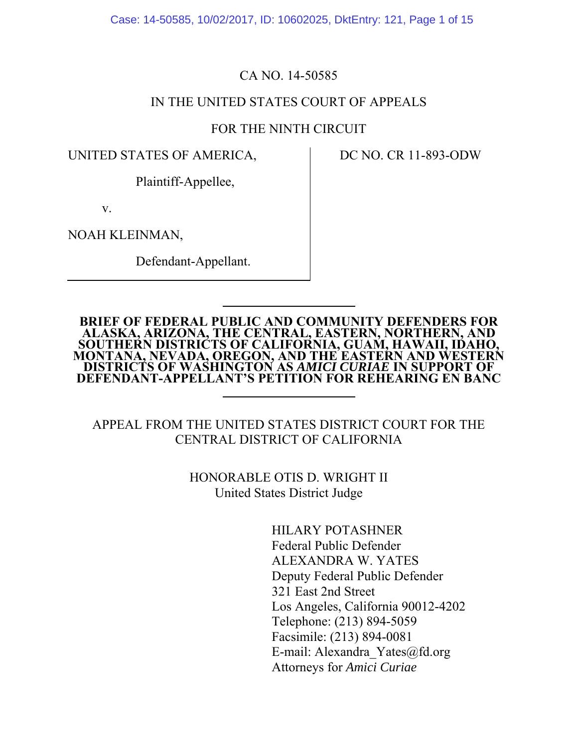Case: 14-50585, 10/02/2017, ID: 10602025, DktEntry: 121, Page 1 of 15

## CA NO. 14-50585

### IN THE UNITED STATES COURT OF APPEALS

### FOR THE NINTH CIRCUIT

UNITED STATES OF AMERICA,

DC NO. CR 11-893-ODW

Plaintiff-Appellee,

v.

NOAH KLEINMAN,

Defendant-Appellant.

# **BRIEF OF FEDERAL PUBLIC AND COMMUNITY DEFENDERS FOR EXAMPLE OF FEBERAL FOBLE AND COMMONITY BEFENDERS FOR ALASKA, ARIZONA, THE CENTRAL, EASTERN, NORTHERN, AND SOUTHERN DISTRICTS OF CALIFORNIA, GUAM, HAWAII, IDAHO, MONTANA, NEVADA, OREGON, AND THE EASTERN AND WESTERN DISTRIC DEFENDANT-APPELLANT'S PETITION FOR REHEARING EN BANC**

# APPEAL FROM THE UNITED STATES DISTRICT COURT FOR THE CENTRAL DISTRICT OF CALIFORNIA

# HONORABLE OTIS D. WRIGHT II United States District Judge

HILARY POTASHNER Federal Public Defender ALEXANDRA W. YATES Deputy Federal Public Defender 321 East 2nd Street Los Angeles, California 90012-4202 Telephone: (213) 894-5059 Facsimile: (213) 894-0081 E-mail: Alexandra\_Yates@fd.org Attorneys for *Amici Curiae*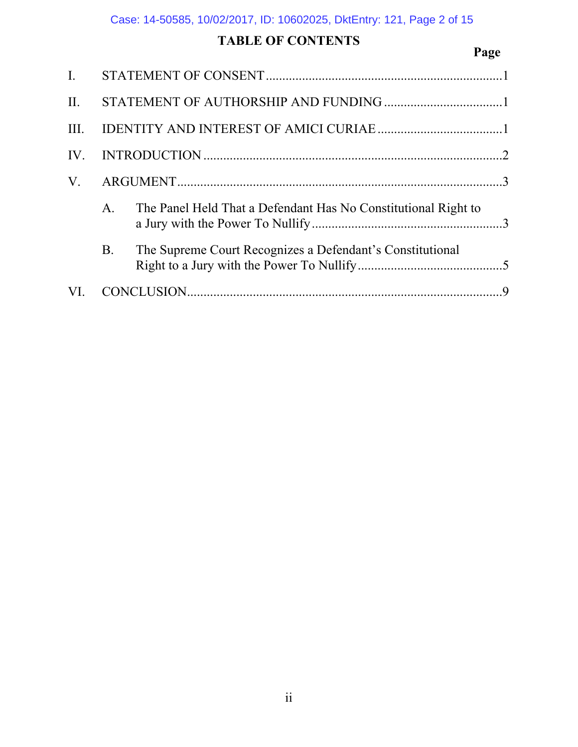# TABLE OF CONTENTS Page

| $\mathbf{I}$ . |           |                                                                |          |
|----------------|-----------|----------------------------------------------------------------|----------|
| II.            |           |                                                                |          |
| III.           |           |                                                                |          |
| IV.            |           |                                                                |          |
| $V_{\cdot}$    |           |                                                                |          |
|                | A.        | The Panel Held That a Defendant Has No Constitutional Right to |          |
|                | <b>B.</b> | The Supreme Court Recognizes a Defendant's Constitutional      |          |
| VI.            |           |                                                                | <b>Q</b> |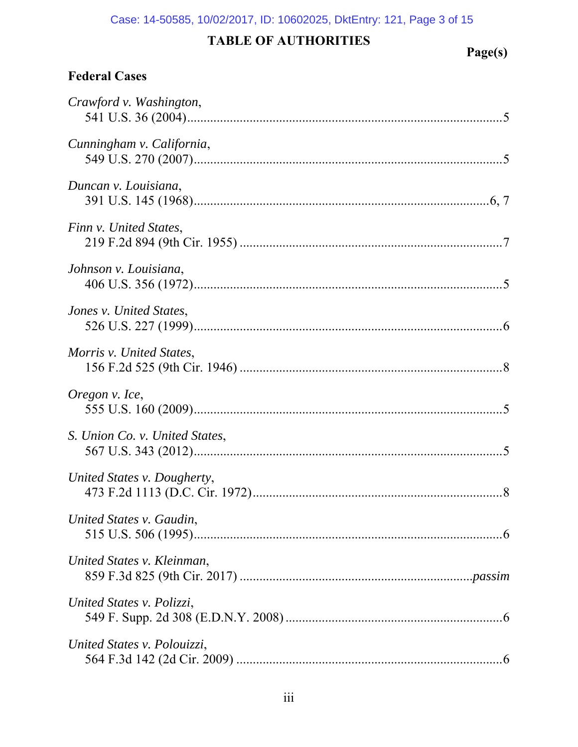# Case: 14-50585, 10/02/2017, ID: 10602025, DktEntry: 121, Page 3 of 15

# TABLE OF AUTHORITIES Page(s)

# **Federal Cases**

| Crawford v. Washington,        |
|--------------------------------|
| Cunningham v. California,      |
| Duncan v. Louisiana,           |
| Finn v. United States,         |
| Johnson v. Louisiana,          |
| Jones v. United States,        |
| Morris v. United States,       |
| Oregon v. Ice,                 |
| S. Union Co. v. United States, |
| United States v. Dougherty,    |
| United States v. Gaudin,       |
| United States v. Kleinman,     |
| United States v. Polizzi,      |
| United States v. Polouizzi,    |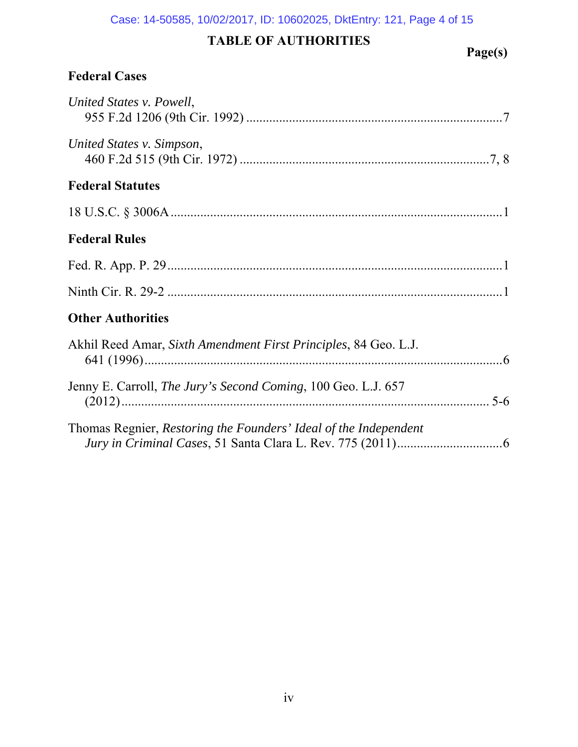#### Case: 14-50585, 10/02/2017, ID: 10602025, DktEntry: 121, Page 4 of 15

# TABLE OF AUTHORITIES Page(s)

# **Federal Cases**

| United States v. Powell,                                         |
|------------------------------------------------------------------|
| United States v. Simpson,                                        |
| <b>Federal Statutes</b>                                          |
|                                                                  |
| <b>Federal Rules</b>                                             |
|                                                                  |
|                                                                  |
| <b>Other Authorities</b>                                         |
| Akhil Reed Amar, Sixth Amendment First Principles, 84 Geo. L.J.  |
| Jenny E. Carroll, The Jury's Second Coming, 100 Geo. L.J. 657    |
| Thomas Regnier, Restoring the Founders' Ideal of the Independent |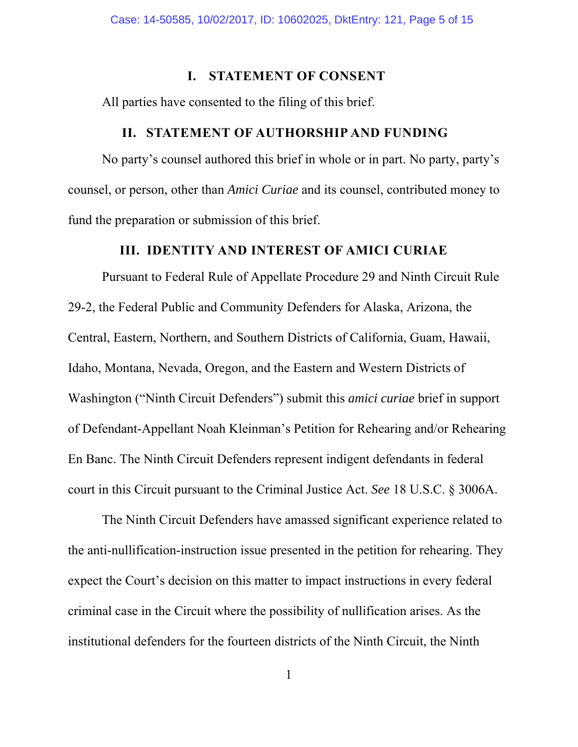#### **I. STATEMENT OF CONSENT**

All parties have consented to the filing of this brief.

#### **II. STATEMENT OF AUTHORSHIP AND FUNDING**

No party's counsel authored this brief in whole or in part. No party, party's counsel, or person, other than *Amici Curiae* and its counsel, contributed money to fund the preparation or submission of this brief.

### **III. IDENTITY AND INTEREST OF AMICI CURIAE**

Pursuant to Federal Rule of Appellate Procedure 29 and Ninth Circuit Rule 29-2, the Federal Public and Community Defenders for Alaska, Arizona, the Central, Eastern, Northern, and Southern Districts of California, Guam, Hawaii, Idaho, Montana, Nevada, Oregon, and the Eastern and Western Districts of Washington ("Ninth Circuit Defenders") submit this *amici curiae* brief in support of Defendant-Appellant Noah Kleinman's Petition for Rehearing and/or Rehearing En Banc. The Ninth Circuit Defenders represent indigent defendants in federal court in this Circuit pursuant to the Criminal Justice Act. *See* 18 U.S.C. § 3006A.

The Ninth Circuit Defenders have amassed significant experience related to the anti-nullification-instruction issue presented in the petition for rehearing. They expect the Court's decision on this matter to impact instructions in every federal criminal case in the Circuit where the possibility of nullification arises. As the institutional defenders for the fourteen districts of the Ninth Circuit, the Ninth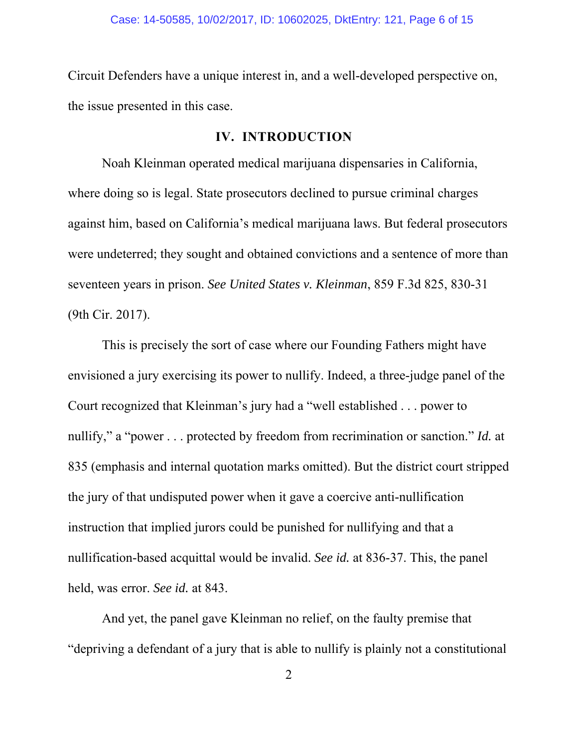Circuit Defenders have a unique interest in, and a well-developed perspective on, the issue presented in this case.

## **IV. INTRODUCTION**

Noah Kleinman operated medical marijuana dispensaries in California, where doing so is legal. State prosecutors declined to pursue criminal charges against him, based on California's medical marijuana laws. But federal prosecutors were undeterred; they sought and obtained convictions and a sentence of more than seventeen years in prison. *See United States v. Kleinman*, 859 F.3d 825, 830-31 (9th Cir. 2017).

This is precisely the sort of case where our Founding Fathers might have envisioned a jury exercising its power to nullify. Indeed, a three-judge panel of the Court recognized that Kleinman's jury had a "well established . . . power to nullify," a "power . . . protected by freedom from recrimination or sanction." *Id.* at 835 (emphasis and internal quotation marks omitted). But the district court stripped the jury of that undisputed power when it gave a coercive anti-nullification instruction that implied jurors could be punished for nullifying and that a nullification-based acquittal would be invalid. *See id.* at 836-37. This, the panel held, was error. *See id.* at 843.

And yet, the panel gave Kleinman no relief, on the faulty premise that "depriving a defendant of a jury that is able to nullify is plainly not a constitutional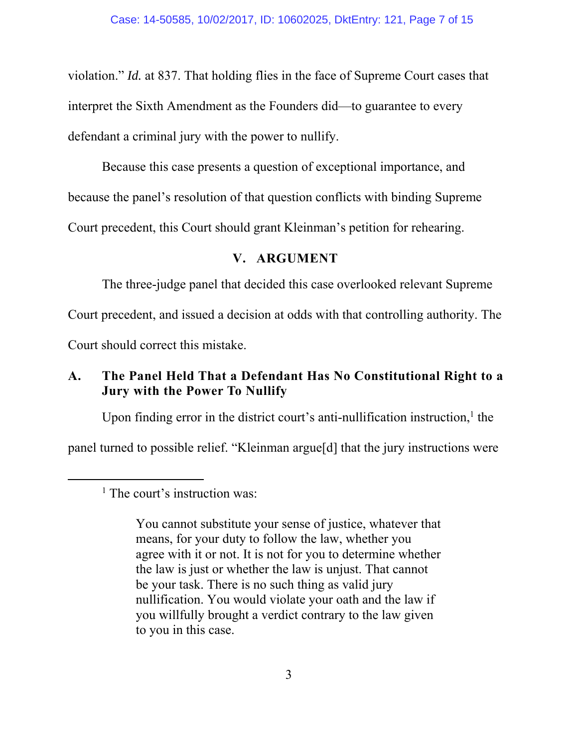violation." *Id.* at 837. That holding flies in the face of Supreme Court cases that interpret the Sixth Amendment as the Founders did—to guarantee to every defendant a criminal jury with the power to nullify.

Because this case presents a question of exceptional importance, and because the panel's resolution of that question conflicts with binding Supreme Court precedent, this Court should grant Kleinman's petition for rehearing.

# **V. ARGUMENT**

The three-judge panel that decided this case overlooked relevant Supreme

Court precedent, and issued a decision at odds with that controlling authority. The

Court should correct this mistake.

# **A. The Panel Held That a Defendant Has No Constitutional Right to a Jury with the Power To Nullify**

Upon finding error in the district court's anti-nullification instruction, $<sup>1</sup>$  the</sup>

panel turned to possible relief. "Kleinman argue[d] that the jury instructions were

You cannot substitute your sense of justice, whatever that means, for your duty to follow the law, whether you agree with it or not. It is not for you to determine whether the law is just or whether the law is unjust. That cannot be your task. There is no such thing as valid jury nullification. You would violate your oath and the law if you willfully brought a verdict contrary to the law given to you in this case.

 $\begin{array}{c}\n\hline\n\end{array}$  $<sup>1</sup>$  The court's instruction was:</sup>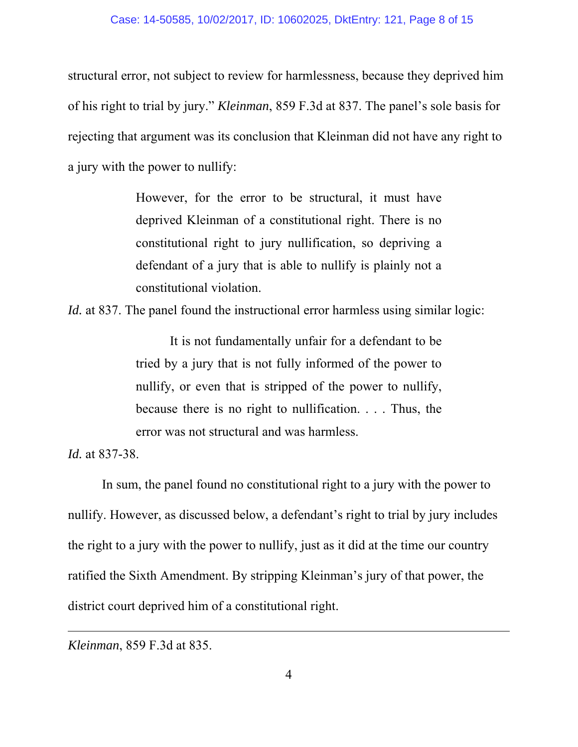#### Case: 14-50585, 10/02/2017, ID: 10602025, DktEntry: 121, Page 8 of 15

structural error, not subject to review for harmlessness, because they deprived him of his right to trial by jury." *Kleinman*, 859 F.3d at 837. The panel's sole basis for rejecting that argument was its conclusion that Kleinman did not have any right to a jury with the power to nullify:

> However, for the error to be structural, it must have deprived Kleinman of a constitutional right. There is no constitutional right to jury nullification, so depriving a defendant of a jury that is able to nullify is plainly not a constitutional violation.

*Id.* at 837. The panel found the instructional error harmless using similar logic:

It is not fundamentally unfair for a defendant to be tried by a jury that is not fully informed of the power to nullify, or even that is stripped of the power to nullify, because there is no right to nullification. . . . Thus, the error was not structural and was harmless.

*Id.* at 837-38.

-

In sum, the panel found no constitutional right to a jury with the power to nullify. However, as discussed below, a defendant's right to trial by jury includes the right to a jury with the power to nullify, just as it did at the time our country ratified the Sixth Amendment. By stripping Kleinman's jury of that power, the district court deprived him of a constitutional right.

*Kleinman*, 859 F.3d at 835.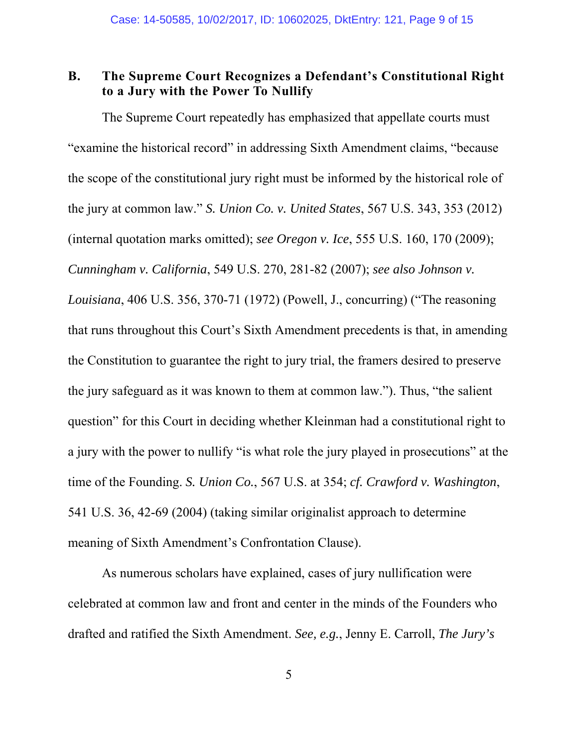# **B. The Supreme Court Recognizes a Defendant's Constitutional Right to a Jury with the Power To Nullify**

The Supreme Court repeatedly has emphasized that appellate courts must "examine the historical record" in addressing Sixth Amendment claims, "because the scope of the constitutional jury right must be informed by the historical role of the jury at common law." *S. Union Co. v. United States*, 567 U.S. 343, 353 (2012) (internal quotation marks omitted); *see Oregon v. Ice*, 555 U.S. 160, 170 (2009); *Cunningham v. California*, 549 U.S. 270, 281-82 (2007); *see also Johnson v. Louisiana*, 406 U.S. 356, 370-71 (1972) (Powell, J., concurring) ("The reasoning that runs throughout this Court's Sixth Amendment precedents is that, in amending the Constitution to guarantee the right to jury trial, the framers desired to preserve the jury safeguard as it was known to them at common law."). Thus, "the salient question" for this Court in deciding whether Kleinman had a constitutional right to a jury with the power to nullify "is what role the jury played in prosecutions" at the time of the Founding. *S. Union Co.*, 567 U.S. at 354; *cf. Crawford v. Washington*, 541 U.S. 36, 42-69 (2004) (taking similar originalist approach to determine meaning of Sixth Amendment's Confrontation Clause).

As numerous scholars have explained, cases of jury nullification were celebrated at common law and front and center in the minds of the Founders who drafted and ratified the Sixth Amendment. *See, e.g.*, Jenny E. Carroll, *The Jury's*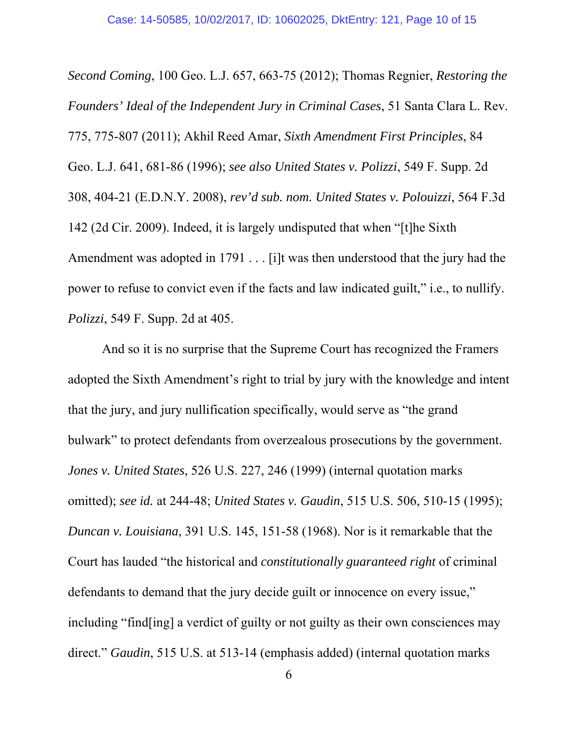*Second Coming*, 100 Geo. L.J. 657, 663-75 (2012); Thomas Regnier, *Restoring the Founders' Ideal of the Independent Jury in Criminal Cases*, 51 Santa Clara L. Rev. 775, 775-807 (2011); Akhil Reed Amar, *Sixth Amendment First Principles*, 84 Geo. L.J. 641, 681-86 (1996); *see also United States v. Polizzi*, 549 F. Supp. 2d 308, 404-21 (E.D.N.Y. 2008), *rev'd sub. nom. United States v. Polouizzi*, 564 F.3d 142 (2d Cir. 2009). Indeed, it is largely undisputed that when "[t]he Sixth Amendment was adopted in 1791 . . . [i]t was then understood that the jury had the power to refuse to convict even if the facts and law indicated guilt," i.e., to nullify. *Polizzi*, 549 F. Supp. 2d at 405.

And so it is no surprise that the Supreme Court has recognized the Framers adopted the Sixth Amendment's right to trial by jury with the knowledge and intent that the jury, and jury nullification specifically, would serve as "the grand bulwark" to protect defendants from overzealous prosecutions by the government. *Jones v. United States*, 526 U.S. 227, 246 (1999) (internal quotation marks omitted); *see id.* at 244-48; *United States v. Gaudin*, 515 U.S. 506, 510-15 (1995); *Duncan v. Louisiana*, 391 U.S. 145, 151-58 (1968). Nor is it remarkable that the Court has lauded "the historical and *constitutionally guaranteed right* of criminal defendants to demand that the jury decide guilt or innocence on every issue," including "find[ing] a verdict of guilty or not guilty as their own consciences may direct." *Gaudin*, 515 U.S. at 513-14 (emphasis added) (internal quotation marks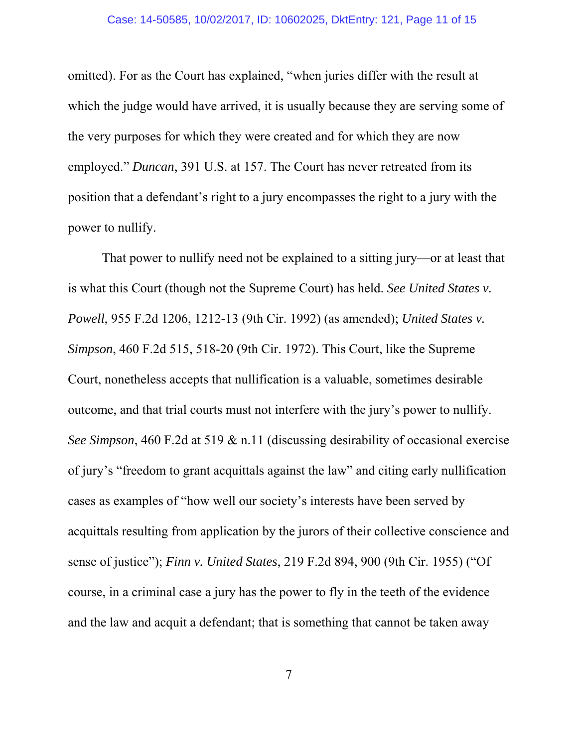omitted). For as the Court has explained, "when juries differ with the result at which the judge would have arrived, it is usually because they are serving some of the very purposes for which they were created and for which they are now employed." *Duncan*, 391 U.S. at 157. The Court has never retreated from its position that a defendant's right to a jury encompasses the right to a jury with the power to nullify.

That power to nullify need not be explained to a sitting jury—or at least that is what this Court (though not the Supreme Court) has held. *See United States v. Powell*, 955 F.2d 1206, 1212-13 (9th Cir. 1992) (as amended); *United States v. Simpson*, 460 F.2d 515, 518-20 (9th Cir. 1972). This Court, like the Supreme Court, nonetheless accepts that nullification is a valuable, sometimes desirable outcome, and that trial courts must not interfere with the jury's power to nullify. *See Simpson*, 460 F.2d at 519 & n.11 (discussing desirability of occasional exercise of jury's "freedom to grant acquittals against the law" and citing early nullification cases as examples of "how well our society's interests have been served by acquittals resulting from application by the jurors of their collective conscience and sense of justice"); *Finn v. United States*, 219 F.2d 894, 900 (9th Cir. 1955) ("Of course, in a criminal case a jury has the power to fly in the teeth of the evidence and the law and acquit a defendant; that is something that cannot be taken away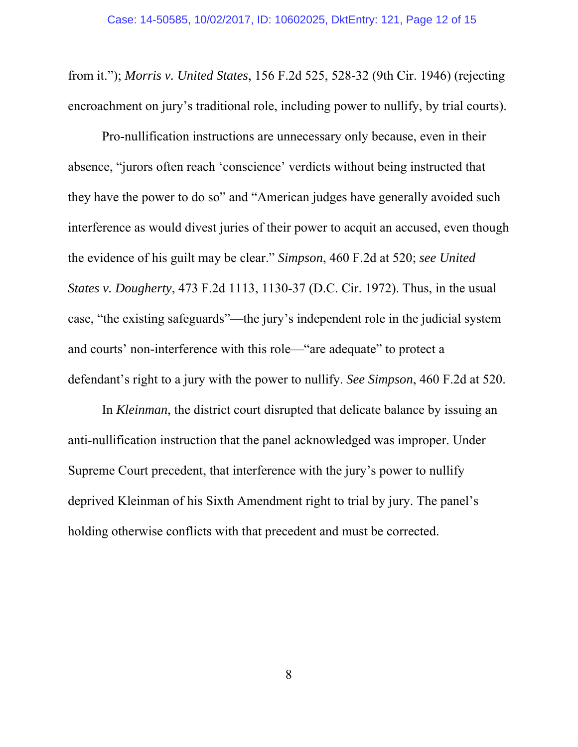from it."); *Morris v. United States*, 156 F.2d 525, 528-32 (9th Cir. 1946) (rejecting encroachment on jury's traditional role, including power to nullify, by trial courts).

Pro-nullification instructions are unnecessary only because, even in their absence, "jurors often reach 'conscience' verdicts without being instructed that they have the power to do so" and "American judges have generally avoided such interference as would divest juries of their power to acquit an accused, even though the evidence of his guilt may be clear." *Simpson*, 460 F.2d at 520; *see United States v. Dougherty*, 473 F.2d 1113, 1130-37 (D.C. Cir. 1972). Thus, in the usual case, "the existing safeguards"—the jury's independent role in the judicial system and courts' non-interference with this role—"are adequate" to protect a defendant's right to a jury with the power to nullify. *See Simpson*, 460 F.2d at 520.

In *Kleinman*, the district court disrupted that delicate balance by issuing an anti-nullification instruction that the panel acknowledged was improper. Under Supreme Court precedent, that interference with the jury's power to nullify deprived Kleinman of his Sixth Amendment right to trial by jury. The panel's holding otherwise conflicts with that precedent and must be corrected.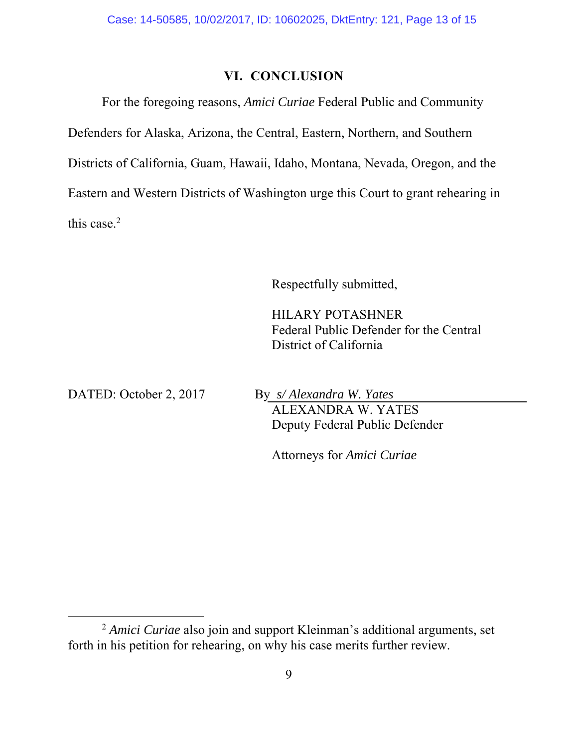# **VI. CONCLUSION**

For the foregoing reasons, *Amici Curiae* Federal Public and Community Defenders for Alaska, Arizona, the Central, Eastern, Northern, and Southern Districts of California, Guam, Hawaii, Idaho, Montana, Nevada, Oregon, and the Eastern and Western Districts of Washington urge this Court to grant rehearing in this case. $2$ 

Respectfully submitted,

HILARY POTASHNER Federal Public Defender for the Central District of California

DATED: October 2, 2017 By *s/ Alexandra W. Yates* ALEXANDRA W. YATES Deputy Federal Public Defender

Attorneys for *Amici Curiae* 

 <sup>2</sup> *Amici Curiae* also join and support Kleinman's additional arguments, set forth in his petition for rehearing, on why his case merits further review.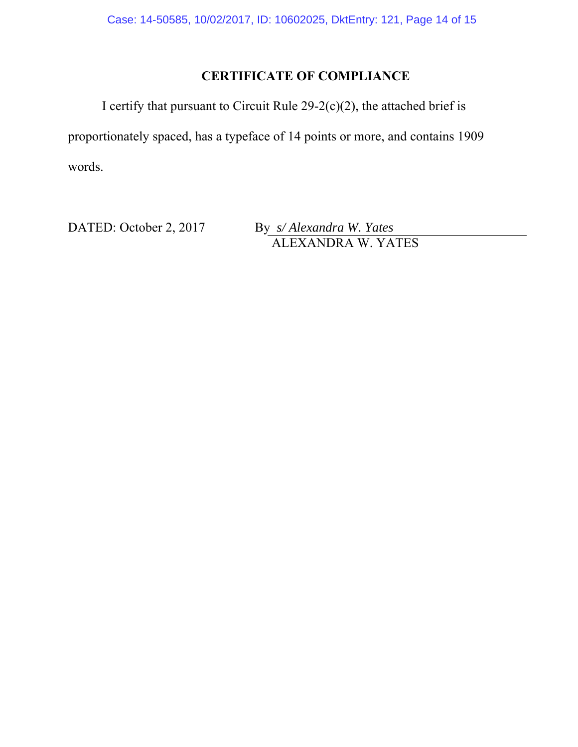# **CERTIFICATE OF COMPLIANCE**

I certify that pursuant to Circuit Rule  $29-2(c)(2)$ , the attached brief is proportionately spaced, has a typeface of 14 points or more, and contains 1909 words.

DATED: October 2, 2017 By *s/ Alexandra W. Yates*

ALEXANDRA W. YATES